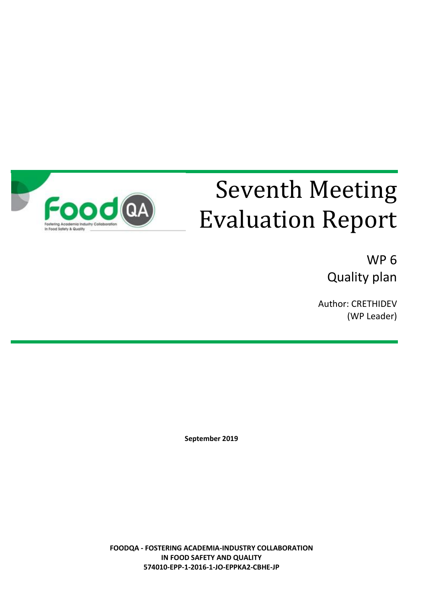

# Seventh Meeting Evaluation Report

WP 6 Quality plan

Author: CRETHIDEV (WP Leader)

**September 2019**

**FOODQA - FOSTERING ACADEMIA-INDUSTRY COLLABORATION IN FOOD SAFETY AND QUALITY 574010-EPP-1-2016-1-JO-EPPKA2-CBHE-JP**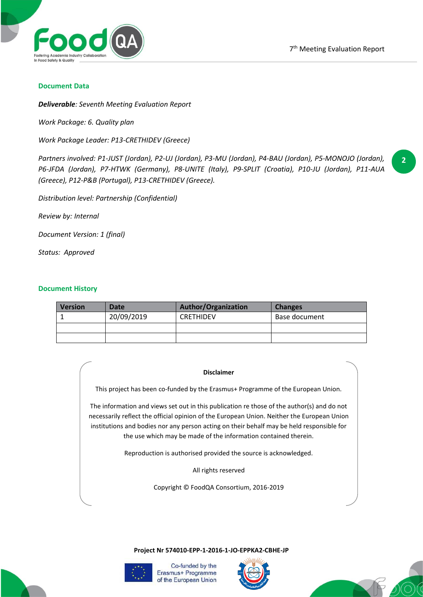

#### **Document Data**

*Deliverable: Seventh Meeting Evaluation Report*

*Work Package: 6. Quality plan*

*Work Package Leader: P13-CRETHIDEV (Greece)*

*Partners involved: P1-JUST (Jordan), P2-UJ (Jordan), P3-MU (Jordan), P4-BAU (Jordan), P5-MONOJO (Jordan), P6-JFDA (Jordan), P7-HTWK (Germany), P8-UNITE (Italy), P9-SPLIT (Croatia), P10-JU (Jordan), P11-AUA (Greece), P12-P&B (Portugal), P13-CRETHIDEV (Greece).*

**2**

*Distribution level: Partnership (Confidential)*

*Review by: Internal*

*Document Version: 1 (final)*

*Status: Approved*

### **Document History**

| <b>Version</b> | Date       | <b>Author/Organization</b> | <b>Changes</b> |
|----------------|------------|----------------------------|----------------|
|                | 20/09/2019 | <b>CRETHIDEV</b>           | Base document  |
|                |            |                            |                |
|                |            |                            |                |

#### **Disclaimer**

This project has been co-funded by the Erasmus+ Programme of the European Union.

The information and views set out in this publication re those of the author(s) and do not necessarily reflect the official opinion of the European Union. Neither the European Union institutions and bodies nor any person acting on their behalf may be held responsible for the use which may be made of the information contained therein.

Reproduction is authorised provided the source is acknowledged.

All rights reserved

Copyright © FoodQA Consortium, 2016-2019

**Project Nr 574010-EPP-1-2016-1-JO-EPPKA2-CBHE-JP**





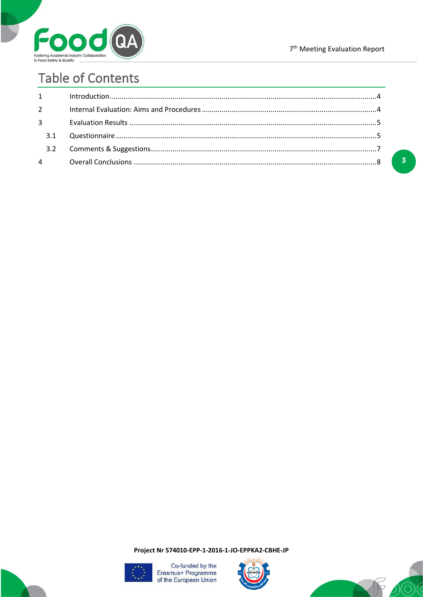

 $\overline{\mathbf{3}}$ 

# **Table of Contents**

| $1 \quad \blacksquare$ |  |
|------------------------|--|
| $2^{\circ}$            |  |
| $3^{\circ}$            |  |
| 3.1                    |  |
|                        |  |
| $\overline{4}$         |  |

Project Nr 574010-EPP-1-2016-1-JO-EPPKA2-CBHE-JP





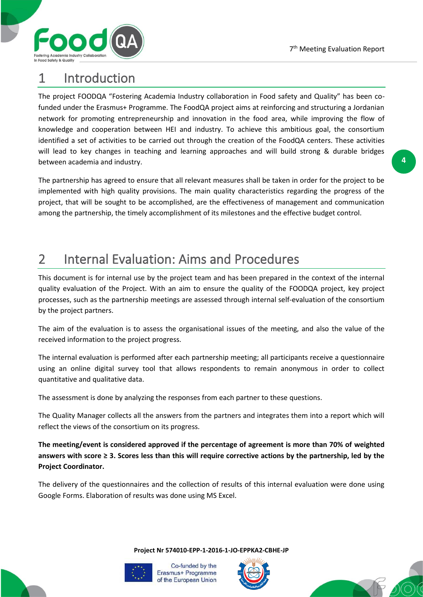**4**



# 1 Introduction

The project FOODQA "Fostering Academia Industry collaboration in Food safety and Quality" has been cofunded under the Erasmus+ Programme. The FoodQA project aims at reinforcing and structuring a Jordanian network for promoting entrepreneurship and innovation in the food area, while improving the flow of knowledge and cooperation between HEI and industry. To achieve this ambitious goal, the consortium identified a set of activities to be carried out through the creation of the FoodQA centers. These activities will lead to key changes in teaching and learning approaches and will build strong & durable bridges between academia and industry.

The partnership has agreed to ensure that all relevant measures shall be taken in order for the project to be implemented with high quality provisions. The main quality characteristics regarding the progress of the project, that will be sought to be accomplished, are the effectiveness of management and communication among the partnership, the timely accomplishment of its milestones and the effective budget control.

# 2 Internal Evaluation: Aims and Procedures

This document is for internal use by the project team and has been prepared in the context of the internal quality evaluation of the Project. With an aim to ensure the quality of the FOODQA project, key project processes, such as the partnership meetings are assessed through internal self-evaluation of the consortium by the project partners.

The aim of the evaluation is to assess the organisational issues of the meeting, and also the value of the received information to the project progress.

The internal evaluation is performed after each partnership meeting; all participants receive a questionnaire using an online digital survey tool that allows respondents to remain anonymous in order to collect quantitative and qualitative data.

The assessment is done by analyzing the responses from each partner to these questions.

The Quality Manager collects all the answers from the partners and integrates them into a report which will reflect the views of the consortium on its progress.

**The meeting/event is considered approved if the percentage of agreement is more than 70% of weighted answers with score ≥ 3. Scores less than this will require corrective actions by the partnership, led by the Project Coordinator.**

The delivery of the questionnaires and the collection of results of this internal evaluation were done using Google Forms. Elaboration of results was done using MS Excel.

**Project Nr 574010-EPP-1-2016-1-JO-EPPKA2-CBHE-JP**





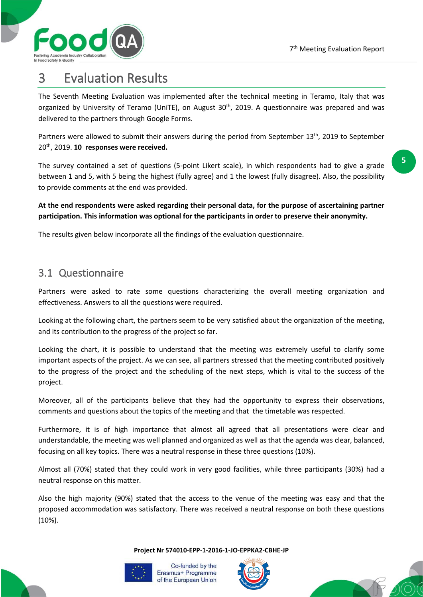

**5**

# 3 Evaluation Results

The Seventh Meeting Evaluation was implemented after the technical meeting in Teramo, Italy that was organized by University of Teramo (UniTE), on August 30<sup>th</sup>, 2019. A questionnaire was prepared and was delivered to the partners through Google Forms.

Partners were allowed to submit their answers during the period from September 13<sup>th</sup>, 2019 to September 20 th, 2019. **10 responses were received.**

The survey contained a set of questions (5-point Likert scale), in which respondents had to give a grade between 1 and 5, with 5 being the highest (fully agree) and 1 the lowest (fully disagree). Also, the possibility to provide comments at the end was provided.

**At the end respondents were asked regarding their personal data, for the purpose of ascertaining partner participation. This information was optional for the participants in order to preserve their anonymity.**

The results given below incorporate all the findings of the evaluation questionnaire.

### 3.1 Questionnaire

Partners were asked to rate some questions characterizing the overall meeting organization and effectiveness. Answers to all the questions were required.

Looking at the following chart, the partners seem to be very satisfied about the organization of the meeting, and its contribution to the progress of the project so far.

Looking the chart, it is possible to understand that the meeting was extremely useful to clarify some important aspects of the project. As we can see, all partners stressed that the meeting contributed positively to the progress of the project and the scheduling of the next steps, which is vital to the success of the project.

Moreover, all of the participants believe that they had the opportunity to express their observations, comments and questions about the topics of the meeting and that the timetable was respected.

Furthermore, it is of high importance that almost all agreed that all presentations were clear and understandable, the meeting was well planned and organized as well as that the agenda was clear, balanced, focusing on all key topics. There was a neutral response in these three questions (10%).

Almost all (70%) stated that they could work in very good facilities, while three participants (30%) had a neutral response on this matter.

Also the high majority (90%) stated that the access to the venue of the meeting was easy and that the proposed accommodation was satisfactory. There was received a neutral response on both these questions (10%).

**Project Nr 574010-EPP-1-2016-1-JO-EPPKA2-CBHE-JP**





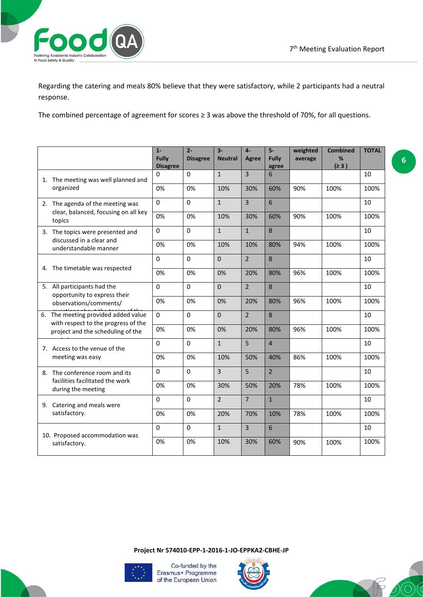

Regarding the catering and meals 80% believe that they were satisfactory, while 2 participants had a neutral response.

The combined percentage of agreement for scores ≥ 3 was above the threshold of 70%, for all questions.

|    |                                                                                                              | $1 -$<br><b>Fully</b><br><b>Disagree</b> | $2 -$<br><b>Disagree</b> | $3-$<br><b>Neutral</b> | $4-$<br>Agree  | $5-$<br><b>Fully</b><br>agree | weighted<br>average | <b>Combined</b><br>%<br>(≥ 3) | <b>TOTAL</b> |
|----|--------------------------------------------------------------------------------------------------------------|------------------------------------------|--------------------------|------------------------|----------------|-------------------------------|---------------------|-------------------------------|--------------|
|    | 1. The meeting was well planned and                                                                          | 0                                        | $\Omega$                 | $\mathbf{1}$           | $\overline{3}$ | 6                             |                     |                               | 10           |
|    | organized                                                                                                    | 0%                                       | 0%                       | 10%                    | 30%            | 60%                           | 90%                 | 100%                          | 100%         |
|    | 2. The agenda of the meeting was<br>clear, balanced, focusing on all key<br>topics                           | $\Omega$                                 | 0                        | $\mathbf{1}$           | $\overline{3}$ | 6                             |                     |                               | 10           |
|    |                                                                                                              | 0%                                       | 0%                       | 10%                    | 30%            | 60%                           | 90%                 | 100%                          | 100%         |
|    | 3. The topics were presented and                                                                             | 0                                        | $\mathbf 0$              | $\mathbf{1}$           | $\mathbf{1}$   | 8                             |                     |                               | 10           |
|    | discussed in a clear and<br>understandable manner                                                            | 0%                                       | 0%                       | 10%                    | 10%            | 80%                           | 94%                 | 100%                          | 100%         |
|    | 4. The timetable was respected                                                                               | $\Omega$                                 | $\mathbf 0$              | $\overline{0}$         | $\overline{2}$ | 8                             |                     |                               | 10           |
|    |                                                                                                              | 0%                                       | 0%                       | 0%                     | 20%            | 80%                           | 96%                 | 100%                          | 100%         |
|    | 5. All participants had the<br>opportunity to express their<br>observations/comments/                        | $\Omega$                                 | $\Omega$                 | $\Omega$               | $\overline{2}$ | 8                             |                     |                               | 10           |
|    |                                                                                                              | 0%                                       | 0%                       | 0%                     | 20%            | 80%                           | 96%                 | 100%                          | 100%         |
| 6. | The meeting provided added value<br>with respect to the progress of the<br>project and the scheduling of the | $\Omega$                                 | $\Omega$                 | $\overline{0}$         | $\overline{2}$ | 8                             |                     |                               | 10           |
|    |                                                                                                              | 0%                                       | 0%                       | 0%                     | 20%            | 80%                           | 96%                 | 100%                          | 100%         |
|    | 7. Access to the venue of the<br>meeting was easy                                                            | $\Omega$                                 | 0                        | $\mathbf{1}$           | 5              | $\overline{4}$                |                     |                               | 10           |
|    |                                                                                                              | 0%                                       | 0%                       | 10%                    | 50%            | 40%                           | 86%                 | 100%                          | 100%         |
|    | 8. The conference room and its<br>facilities facilitated the work<br>during the meeting                      | 0                                        | 0                        | 3                      | 5              | $\overline{2}$                |                     |                               | 10           |
|    |                                                                                                              | 0%                                       | 0%                       | 30%                    | 50%            | 20%                           | 78%                 | 100%                          | 100%         |
|    | 9. Catering and meals were<br>satisfactory.                                                                  | $\Omega$                                 | $\mathbf 0$              | $\overline{2}$         | $\overline{7}$ | $\mathbf{1}$                  |                     |                               | 10           |
|    |                                                                                                              | 0%                                       | 0%                       | 20%                    | 70%            | 10%                           | 78%                 | 100%                          | 100%         |
|    | 10. Proposed accommodation was<br>satisfactory.                                                              | $\Omega$                                 | 0                        | $\mathbf{1}$           | $\overline{3}$ | 6                             |                     |                               | 10           |
|    |                                                                                                              | 0%                                       | 0%                       | 10%                    | 30%            | 60%                           | 90%                 | 100%                          | 100%         |

**Project Nr 574010-EPP-1-2016-1-JO-EPPKA2-CBHE-JP**





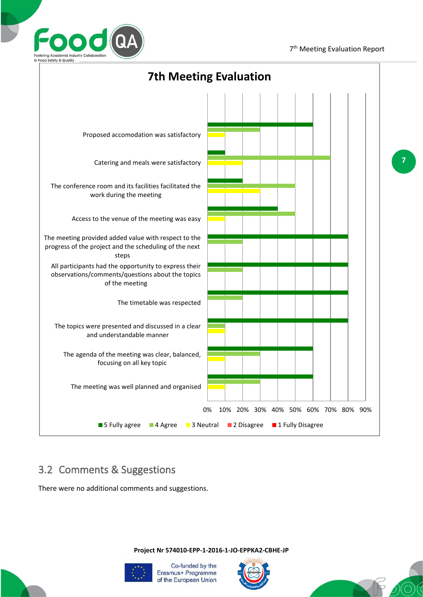

**7**



### 3.2 Comments & Suggestions

There were no additional comments and suggestions.

**Project Nr 574010-EPP-1-2016-1-JO-EPPKA2-CBHE-JP**